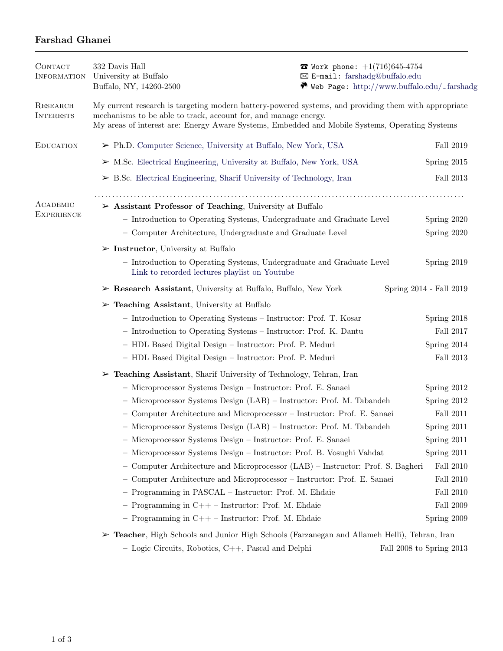## Farshad Ghanei

| <b>CONTACT</b><br><b>INFORMATION</b> | 332 Davis Hall<br>University at Buffalo<br>Buffalo, NY, 14260-2500                                                                                                      | <b><math>\bullet</math></b> Work phone: $+1(716)645-4754$<br>⊠ E-mail: farshadg@buffalo.edu |               |  |
|--------------------------------------|-------------------------------------------------------------------------------------------------------------------------------------------------------------------------|---------------------------------------------------------------------------------------------|---------------|--|
| RESEARCH<br><b>INTERESTS</b>         | My current research is targeting modern battery-powered systems, and providing them with appropriate<br>mechanisms to be able to track, account for, and manage energy. | $\bullet$ Web Page: http://www.buffalo.edu/ $\sim$ farshadg                                 |               |  |
|                                      | My areas of interest are: Energy Aware Systems, Embedded and Mobile Systems, Operating Systems                                                                          |                                                                                             |               |  |
| <b>EDUCATION</b>                     | $\triangleright$ Ph.D. Computer Science, University at Buffalo, New York, USA                                                                                           |                                                                                             | Fall 2019     |  |
|                                      | $\triangleright$ M.Sc. Electrical Engineering, University at Buffalo, New York, USA                                                                                     |                                                                                             | Spring 2015   |  |
|                                      | $\triangleright$ B.Sc. Electrical Engineering, Sharif University of Technology, Iran                                                                                    |                                                                                             | Fall 2013     |  |
| ACADEMIC<br><b>EXPERIENCE</b>        | $\triangleright$ Assistant Professor of Teaching, University at Buffalo                                                                                                 |                                                                                             |               |  |
|                                      | - Introduction to Operating Systems, Undergraduate and Graduate Level                                                                                                   |                                                                                             | Spring 2020   |  |
|                                      | - Computer Architecture, Undergraduate and Graduate Level                                                                                                               |                                                                                             | Spring 2020   |  |
|                                      | $\triangleright$ Instructor, University at Buffalo                                                                                                                      |                                                                                             |               |  |
|                                      | - Introduction to Operating Systems, Undergraduate and Graduate Level<br>Link to recorded lectures playlist on Youtube                                                  |                                                                                             | Spring 2019   |  |
|                                      | $\triangleright$ Research Assistant, University at Buffalo, Buffalo, New York                                                                                           | Spring 2014 - Fall 2019                                                                     |               |  |
|                                      | $\triangleright$ Teaching Assistant, University at Buffalo                                                                                                              |                                                                                             |               |  |
|                                      | - Introduction to Operating Systems - Instructor: Prof. T. Kosar                                                                                                        |                                                                                             | Spring 2018   |  |
|                                      | - Introduction to Operating Systems - Instructor: Prof. K. Dantu                                                                                                        |                                                                                             | Fall $2017\,$ |  |
|                                      | - HDL Based Digital Design - Instructor: Prof. P. Meduri                                                                                                                |                                                                                             | Spring 2014   |  |
|                                      | - HDL Based Digital Design - Instructor: Prof. P. Meduri                                                                                                                |                                                                                             | Fall 2013     |  |
|                                      | $\triangleright$ Teaching Assistant, Sharif University of Technology, Tehran, Iran                                                                                      |                                                                                             |               |  |
|                                      | - Microprocessor Systems Design - Instructor: Prof. E. Sanaei                                                                                                           |                                                                                             | Spring 2012   |  |
|                                      | - Microprocessor Systems Design (LAB) - Instructor: Prof. M. Tabandeh                                                                                                   |                                                                                             | Spring 2012   |  |
|                                      | - Computer Architecture and Microprocessor - Instructor: Prof. E. Sanaei                                                                                                |                                                                                             | Fall 2011     |  |
|                                      | - Microprocessor Systems Design (LAB) - Instructor: Prof. M. Tabandeh                                                                                                   |                                                                                             | Spring 2011   |  |
|                                      | - Microprocessor Systems Design - Instructor: Prof. E. Sanaei                                                                                                           |                                                                                             | Spring 2011   |  |
|                                      | - Microprocessor Systems Design - Instructor: Prof. B. Vosughi Vahdat                                                                                                   |                                                                                             | Spring 2011   |  |
|                                      | - Computer Architecture and Microprocessor (LAB) - Instructor: Prof. S. Bagheri                                                                                         |                                                                                             | Fall 2010     |  |
|                                      | - Computer Architecture and Microprocessor - Instructor: Prof. E. Sanaei                                                                                                |                                                                                             | Fall 2010     |  |
|                                      | - Programming in PASCAL - Instructor: Prof. M. Ehdaie                                                                                                                   |                                                                                             | Fall 2010     |  |
|                                      | - Programming in $C++$ - Instructor: Prof. M. Ehdaie                                                                                                                    |                                                                                             | Fall 2009     |  |
|                                      | $-$ Programming in C++ $-$ Instructor: Prof. M. Ehdaie                                                                                                                  |                                                                                             | Spring 2009   |  |
|                                      | > Teacher, High Schools and Junior High Schools (Farzanegan and Allameh Helli), Tehran, Iran                                                                            |                                                                                             |               |  |

 $-$  Logic Circuits, Robotics, C++, Pascal and Delphi $\hfill$  Fall 2008 to Spring 2013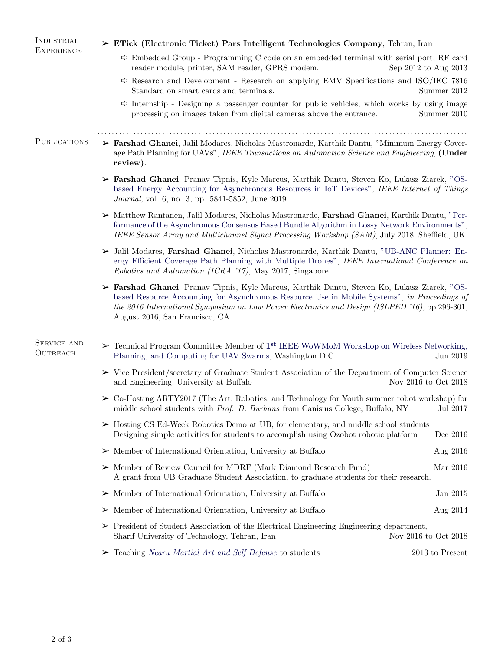| INDUSTRIAL              | $\triangleright$ ETick (Electronic Ticket) Pars Intelligent Technologies Company, Tehran, Iran                                                                                                                                                                                                                                    |                      |  |  |
|-------------------------|-----------------------------------------------------------------------------------------------------------------------------------------------------------------------------------------------------------------------------------------------------------------------------------------------------------------------------------|----------------------|--|--|
| <b>EXPERIENCE</b>       | $\div$ Embedded Group - Programming C code on an embedded terminal with serial port, RF card<br>reader module, printer, SAM reader, GPRS modem.<br>Sep 2012 to Aug 2013                                                                                                                                                           |                      |  |  |
|                         | $\Rightarrow$ Research and Development - Research on applying EMV Specifications and ISO/IEC 7816<br>Standard on smart cards and terminals.                                                                                                                                                                                       | Summer 2012          |  |  |
|                         | $\Rightarrow$ Internship - Designing a passenger counter for public vehicles, which works by using image<br>processing on images taken from digital cameras above the entrance.                                                                                                                                                   | Summer 2010          |  |  |
| <b>PUBLICATIONS</b>     | > Farshad Ghanei, Jalil Modares, Nicholas Mastronarde, Karthik Dantu, "Minimum Energy Cover-<br>age Path Planning for UAVs", IEEE Transactions on Automation Science and Engineering, (Under<br>review).                                                                                                                          |                      |  |  |
|                         | > Farshad Ghanei, Pranav Tipnis, Kyle Marcus, Karthik Dantu, Steven Ko, Lukasz Ziarek, "OS-<br>based Energy Accounting for Asynchronous Resources in IoT Devices", IEEE Internet of Things<br>Journal, vol. 6, no. 3, pp. 5841-5852, June 2019.                                                                                   |                      |  |  |
|                         | > Matthew Rantanen, Jalil Modares, Nicholas Mastronarde, Farshad Ghanei, Karthik Dantu, "Per-<br>formance of the Asynchronous Consensus Based Bundle Algorithm in Lossy Network Environments",<br>IEEE Sensor Array and Multichannel Signal Processing Workshop (SAM), July 2018, Sheffield, UK.                                  |                      |  |  |
|                         | > Jalil Modares, Farshad Ghanei, Nicholas Mastronarde, Karthik Dantu, "UB-ANC Planner: En-<br>ergy Efficient Coverage Path Planning with Multiple Drones", IEEE International Conference on<br><i>Robotics and Automation (ICRA '17)</i> , May 2017, Singapore.                                                                   |                      |  |  |
|                         | > Farshad Ghanei, Pranav Tipnis, Kyle Marcus, Karthik Dantu, Steven Ko, Lukasz Ziarek, "OS-<br>based Resource Accounting for Asynchronous Resource Use in Mobile Systems", in Proceedings of<br>the 2016 International Symposium on Low Power Electronics and Design (ISLPED '16), pp 296-301,<br>August 2016, San Francisco, CA. |                      |  |  |
| SERVICE AND<br>OUTREACH | $\triangleright$ Technical Program Committee Member of $1^{st}$ IEEE WOWMOM Workshop on Wireless Networking,<br>Planning, and Computing for UAV Swarms, Washington D.C.                                                                                                                                                           | Jun 2019             |  |  |
|                         | $\triangleright$ Vice President/secretary of Graduate Student Association of the Department of Computer Science<br>and Engineering, University at Buffalo                                                                                                                                                                         | Nov 2016 to Oct 2018 |  |  |
|                         | > Co-Hosting ARTY2017 (The Art, Robotics, and Technology for Youth summer robot workshop) for<br>middle school students with Prof. D. Burhans from Canisius College, Buffalo, NY                                                                                                                                                  | $\mathrm{Jul}$ 2017  |  |  |
|                         | $\triangleright$ Hosting CS Ed-Week Robotics Demo at UB, for elementary, and middle school students<br>Designing simple activities for students to accomplish using Ozobot robotic platform                                                                                                                                       | Dec $2016$           |  |  |
|                         | $\triangleright$ Member of International Orientation, University at Buffalo                                                                                                                                                                                                                                                       | Aug 2016             |  |  |
|                         | $\triangleright$ Member of Review Council for MDRF (Mark Diamond Research Fund)<br>A grant from UB Graduate Student Association, to graduate students for their research.                                                                                                                                                         | Mar 2016             |  |  |
|                         | $\triangleright$ Member of International Orientation, University at Buffalo                                                                                                                                                                                                                                                       | Jan 2015             |  |  |
|                         | $\triangleright$ Member of International Orientation, University at Buffalo                                                                                                                                                                                                                                                       | Aug 2014             |  |  |
|                         | $\triangleright$ President of Student Association of the Electrical Engineering Engineering department,<br>Sharif University of Technology, Tehran, Iran                                                                                                                                                                          | Nov 2016 to Oct 2018 |  |  |
|                         | $\triangleright$ Teaching Nearu Martial Art and Self Defense to students                                                                                                                                                                                                                                                          | 2013 to Present      |  |  |